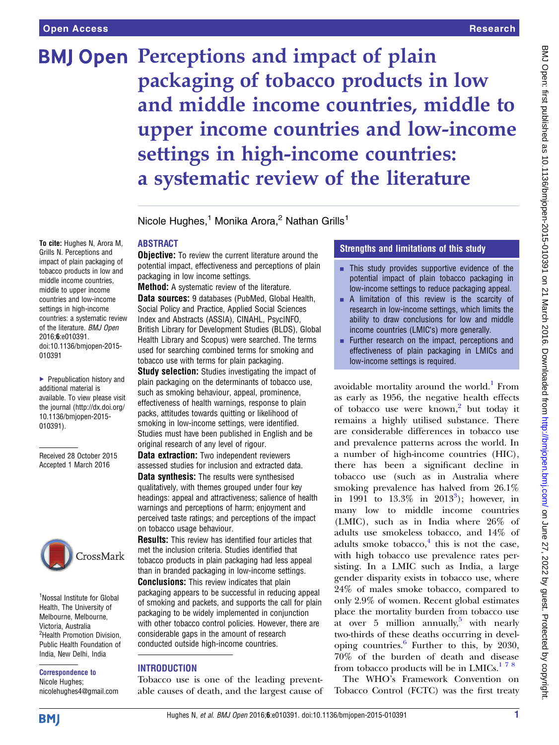To cite: Hughes N, Arora M, Grills N. Perceptions and impact of plain packaging of tobacco products in low and middle income countries, middle to upper income countries and low-income settings in high-income countries: a systematic review of the literature. BMJ Open 2016;6:e010391.

doi:10.1136/bmjopen-2015-

▶ Prepublication history and additional material is available. To view please visit the journal [\(http://dx.doi.org/](http://dx.doi.org/10.1136/bmjopen-2015-010391) [10.1136/bmjopen-2015-](http://dx.doi.org/10.1136/bmjopen-2015-010391)

Received 28 October 2015 Accepted 1 March 2016

<sup>1</sup>Nossal Institute for Global Health, The University of Melbourne, Melbourne, Victoria, Australia <sup>2</sup>Health Promotion Division, Public Health Foundation of India, New Delhi, India Correspondence to Nicole Hughes;

CrossMark

nicolehughes4@gmail.com

010391

[010391\)](http://dx.doi.org/10.1136/bmjopen-2015-010391).

# **BMJ Open Perceptions and impact of plain** packaging of tobacco products in low and middle income countries, middle to upper income countries and low-income settings in high-income countries: a systematic review of the literature

Nicole Hughes,<sup>1</sup> Monika Arora,<sup>2</sup> Nathan Grills<sup>1</sup>

## ABSTRACT

**Objective:** To review the current literature around the potential impact, effectiveness and perceptions of plain packaging in low income settings.

Method: A systematic review of the literature. Data sources: 9 databases (PubMed, Global Health, Social Policy and Practice, Applied Social Sciences Index and Abstracts (ASSIA), CINAHL, PsycINFO, British Library for Development Studies (BLDS), Global Health Library and Scopus) were searched. The terms used for searching combined terms for smoking and tobacco use with terms for plain packaging.

**Study selection:** Studies investigating the impact of plain packaging on the determinants of tobacco use, such as smoking behaviour, appeal, prominence, effectiveness of health warnings, response to plain packs, attitudes towards quitting or likelihood of smoking in low-income settings, were identified. Studies must have been published in English and be original research of any level of rigour.

**Data extraction:** Two independent reviewers assessed studies for inclusion and extracted data. **Data synthesis:** The results were synthesised qualitatively, with themes grouped under four key headings: appeal and attractiveness; salience of health warnings and perceptions of harm; enjoyment and perceived taste ratings; and perceptions of the impact on tobacco usage behaviour.

Results: This review has identified four articles that met the inclusion criteria. Studies identified that tobacco products in plain packaging had less appeal than in branded packaging in low-income settings. **Conclusions:** This review indicates that plain packaging appears to be successful in reducing appeal of smoking and packets, and supports the call for plain packaging to be widely implemented in conjunction with other tobacco control policies. However, there are considerable gaps in the amount of research conducted outside high-income countries.

## **INTRODUCTION**

Tobacco use is one of the leading preventable causes of death, and the largest cause of

## Strengths and limitations of this study

- $\blacksquare$  This study provides supportive evidence of the potential impact of plain tobacco packaging in low-income settings to reduce packaging appeal.
- $\blacksquare$  A limitation of this review is the scarcity of research in low-income settings, which limits the ability to draw conclusions for low and middle income countries (LMIC's) more generally.
- $\blacksquare$  Further research on the impact, perceptions and effectiveness of plain packaging in LMICs and low-income settings is required.

avoidable mortality around the world. $<sup>1</sup>$  $<sup>1</sup>$  $<sup>1</sup>$  From</sup> as early as 1956, the negative health effects of tobacco use were known,<sup>[2](#page-8-0)</sup> but today it remains a highly utilised substance. There are considerable differences in tobacco use and prevalence patterns across the world. In a number of high-income countries (HIC), there has been a significant decline in tobacco use (such as in Australia where smoking prevalence has halved from 26.1% in 1991 to  $13.3\%$  $13.3\%$  $13.3\%$  in  $2013^3$ ); however, in many low to middle income countries (LMIC), such as in India where 26% of adults use smokeless tobacco, and 14% of adults smoke tobacco, $4$  this is not the case, with high tobacco use prevalence rates persisting. In a LMIC such as India, a large gender disparity exists in tobacco use, where 24% of males smoke tobacco, compared to only 2.9% of women. Recent global estimates place the mortality burden from tobacco use at over [5](#page-8-0) million annually, with nearly two-thirds of these deaths occurring in developing countries.[6](#page-8-0) Further to this, by 2030, 70% of the burden of death and disease from tobacco products will be in  $LMICs.<sup>178</sup>$  $LMICs.<sup>178</sup>$  $LMICs.<sup>178</sup>$ 

The WHO's Framework Convention on Tobacco Control (FCTC) was the first treaty

**BMJ**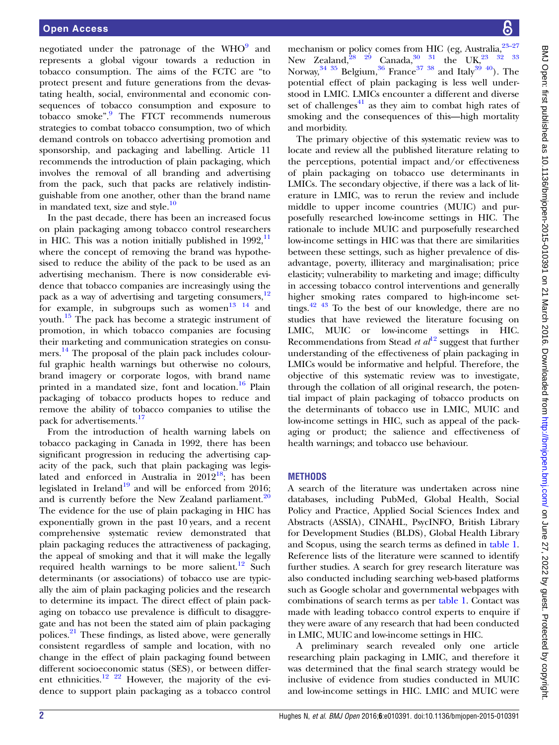negotiated under the patronage of the  $WHO<sup>9</sup>$  $WHO<sup>9</sup>$  $WHO<sup>9</sup>$  and represents a global vigour towards a reduction in tobacco consumption. The aims of the FCTC are "to protect present and future generations from the devastating health, social, environmental and economic consequences of tobacco consumption and exposure to tobacco smoke". [9](#page-8-0) The FTCT recommends numerous strategies to combat tobacco consumption, two of which demand controls on tobacco advertising promotion and sponsorship, and packaging and labelling. Article 11 recommends the introduction of plain packaging, which involves the removal of all branding and advertising from the pack, such that packs are relatively indistinguishable from one another, other than the brand name in mandated text, size and style. $\frac{10}{2}$  $\frac{10}{2}$  $\frac{10}{2}$ 

In the past decade, there has been an increased focus on plain packaging among tobacco control researchers in HIC. This was a notion initially published in  $1992$ ,  $\frac{11}{11}$  $\frac{11}{11}$  $\frac{11}{11}$ where the concept of removing the brand was hypothesised to reduce the ability of the pack to be used as an advertising mechanism. There is now considerable evidence that tobacco companies are increasingly using the pack as a way of advertising and targeting consumers,  $12$ for example, in subgroups such as women<sup>[13 14](#page-8-0)</sup> and youth. $15$  The pack has become a strategic instrument of promotion, in which tobacco companies are focusing their marketing and communication strategies on consumers. [14](#page-8-0) The proposal of the plain pack includes colourful graphic health warnings but otherwise no colours, brand imagery or corporate logos, with brand name printed in a mandated size, font and location.<sup>[16](#page-8-0)</sup> Plain packaging of tobacco products hopes to reduce and remove the ability of tobacco companies to utilise the pack for advertisements.<sup>[17](#page-8-0)</sup>

From the introduction of health warning labels on tobacco packaging in Canada in 1992, there has been significant progression in reducing the advertising capacity of the pack, such that plain packaging was legislated and enforced in Australia in  $2012^{18}$ ; has been legislated in Ireland<sup>[19](#page-8-0)</sup> and will be enforced from 2016; and is currently before the New Zealand parliament. $20$ The evidence for the use of plain packaging in HIC has exponentially grown in the past 10 years, and a recent comprehensive systematic review demonstrated that plain packaging reduces the attractiveness of packaging, the appeal of smoking and that it will make the legally required health warnings to be more salient.<sup>[12](#page-8-0)</sup> Such determinants (or associations) of tobacco use are typically the aim of plain packaging policies and the research to determine its impact. The direct effect of plain packaging on tobacco use prevalence is difficult to disaggregate and has not been the stated aim of plain packaging polices.[21](#page-8-0) These findings, as listed above, were generally consistent regardless of sample and location, with no change in the effect of plain packaging found between different socioeconomic status (SES), or between differ-ent ethnicities.<sup>[12 22](#page-8-0)</sup> However, the majority of the evidence to support plain packaging as a tobacco control

mechanism or policy comes from HIC (eg, Australia,  $23-27$  $23-27$ New Zealand,  $28^{29}$  Canada,  $30^{31}$  the UK,  $23^{32}$   $33^{33}$ Norway, $34\,35\,$  Belgium, $36\,$  $36\,$  France $^{37\,38}$  and Italy $^{39\,40}$ ). The potential effect of plain packaging is less well understood in LMIC. LMICs encounter a different and diverse set of challenges $41$  as they aim to combat high rates of smoking and the consequences of this—high mortality and morbidity.

The primary objective of this systematic review was to locate and review all the published literature relating to the perceptions, potential impact and/or effectiveness of plain packaging on tobacco use determinants in LMICs. The secondary objective, if there was a lack of literature in LMIC, was to rerun the review and include middle to upper income countries (MUIC) and purposefully researched low-income settings in HIC. The rationale to include MUIC and purposefully researched low-income settings in HIC was that there are similarities between these settings, such as higher prevalence of disadvantage, poverty, illiteracy and marginalisation; price elasticity; vulnerability to marketing and image; difficulty in accessing tobacco control interventions and generally higher smoking rates compared to high-income set-tings.<sup>[42 43](#page-9-0)</sup> To the best of our knowledge, there are no studies that have reviewed the literature focusing on LMIC, MUIC or low-income settings in HIC. Recommendations from Stead *et al*<sup>[12](#page-8-0)</sup> suggest that further understanding of the effectiveness of plain packaging in LMICs would be informative and helpful. Therefore, the objective of this systematic review was to investigate, through the collation of all original research, the potential impact of plain packaging of tobacco products on the determinants of tobacco use in LMIC, MUIC and low-income settings in HIC, such as appeal of the packaging or product; the salience and effectiveness of health warnings; and tobacco use behaviour.

#### **METHODS**

A search of the literature was undertaken across nine databases, including PubMed, Global Health, Social Policy and Practice, Applied Social Sciences Index and Abstracts (ASSIA), CINAHL, PsycINFO, British Library for Development Studies (BLDS), Global Health Library and Scopus, using the search terms as defined in [table 1.](#page-2-0) Reference lists of the literature were scanned to identify further studies. A search for grey research literature was also conducted including searching web-based platforms such as Google scholar and governmental webpages with combinations of search terms as per [table 1.](#page-2-0) Contact was made with leading tobacco control experts to enquire if they were aware of any research that had been conducted in LMIC, MUIC and low-income settings in HIC.

A preliminary search revealed only one article researching plain packaging in LMIC, and therefore it was determined that the final search strategy would be inclusive of evidence from studies conducted in MUIC and low-income settings in HIC. LMIC and MUIC were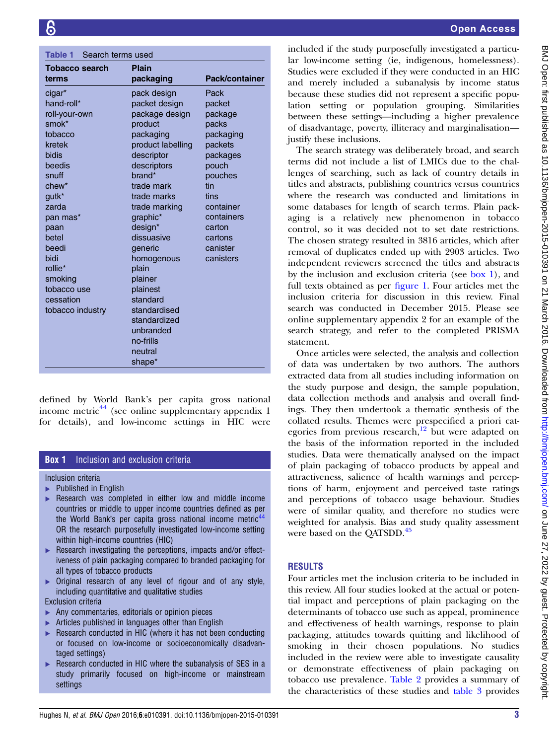<span id="page-2-0"></span>

| Search terms used<br>Table 1 |                                                                                                  |  |  |  |
|------------------------------|--------------------------------------------------------------------------------------------------|--|--|--|
| <b>Plain</b>                 |                                                                                                  |  |  |  |
| packaging                    | Pack/container                                                                                   |  |  |  |
| pack design                  | Pack                                                                                             |  |  |  |
| packet design                | packet                                                                                           |  |  |  |
| package design               | package                                                                                          |  |  |  |
| product                      | packs                                                                                            |  |  |  |
| packaging                    | packaging                                                                                        |  |  |  |
| product labelling            | packets                                                                                          |  |  |  |
| descriptor                   | packages                                                                                         |  |  |  |
| descriptors                  | pouch                                                                                            |  |  |  |
| brand*                       | pouches                                                                                          |  |  |  |
| trade mark                   | tin                                                                                              |  |  |  |
| trade marks                  | tins                                                                                             |  |  |  |
| trade marking                | container                                                                                        |  |  |  |
| graphic*                     | containers                                                                                       |  |  |  |
|                              | carton                                                                                           |  |  |  |
|                              | cartons                                                                                          |  |  |  |
| generic                      | canister                                                                                         |  |  |  |
| homogenous                   | canisters                                                                                        |  |  |  |
| plain                        |                                                                                                  |  |  |  |
|                              |                                                                                                  |  |  |  |
| plainest                     |                                                                                                  |  |  |  |
|                              |                                                                                                  |  |  |  |
|                              |                                                                                                  |  |  |  |
| standardized                 |                                                                                                  |  |  |  |
|                              |                                                                                                  |  |  |  |
|                              |                                                                                                  |  |  |  |
| neutral                      |                                                                                                  |  |  |  |
|                              |                                                                                                  |  |  |  |
|                              | design*<br>dissuasive<br>plainer<br>standard<br>standardised<br>unbranded<br>no-frills<br>shape* |  |  |  |

defined by World Bank's per capita gross national income metric<sup>[44](#page-9-0)</sup> (see online [supplementary appendix](http://dx.doi.org/10.1136/bmjopen-2015-010391) 1) for details), and low-income settings in HIC were

## **Box 1** Inclusion and exclusion criteria

Inclusion criteria

- ▶ Published in English
- Research was completed in either low and middle income countries or middle to upper income countries defined as per the World Bank's per capita gross national income metric<sup>[44](#page-9-0)</sup> OR the research purposefully investigated low-income setting within high-income countries (HIC)
- ▶ Research investigating the perceptions, impacts and/or effectiveness of plain packaging compared to branded packaging for all types of tobacco products
- Original research of any level of rigour and of any style, including quantitative and qualitative studies

Exclusion criteria

- Any commentaries, editorials or opinion pieces
- Articles published in languages other than English
- ▶ Research conducted in HIC (where it has not been conducting or focused on low-income or socioeconomically disadvantaged settings)
- Research conducted in HIC where the subanalysis of SES in a study primarily focused on high-income or mainstream settings

included if the study purposefully investigated a particular low-income setting (ie, indigenous, homelessness). Studies were excluded if they were conducted in an HIC and merely included a subanalysis by income status because these studies did not represent a specific population setting or population grouping. Similarities between these settings—including a higher prevalence of disadvantage, poverty, illiteracy and marginalisation justify these inclusions.

The search strategy was deliberately broad, and search terms did not include a list of LMICs due to the challenges of searching, such as lack of country details in titles and abstracts, publishing countries versus countries where the research was conducted and limitations in some databases for length of search terms. Plain packaging is a relatively new phenomenon in tobacco control, so it was decided not to set date restrictions. The chosen strategy resulted in 3816 articles, which after removal of duplicates ended up with 2903 articles. Two independent reviewers screened the titles and abstracts by the inclusion and exclusion criteria (see box 1), and full texts obtained as per fi[gure 1](#page-3-0). Four articles met the inclusion criteria for discussion in this review. Final search was conducted in December 2015. Please see online [supplementary appendix](http://dx.doi.org/10.1136/bmjopen-2015-010391) 2 for an example of the search strategy, and refer to the completed PRISMA statement.

Once articles were selected, the analysis and collection of data was undertaken by two authors. The authors extracted data from all studies including information on the study purpose and design, the sample population, data collection methods and analysis and overall findings. They then undertook a thematic synthesis of the collated results. Themes were prespecified a priori cat-egories from previous research,<sup>[12](#page-8-0)</sup> but were adapted on the basis of the information reported in the included studies. Data were thematically analysed on the impact of plain packaging of tobacco products by appeal and attractiveness, salience of health warnings and perceptions of harm, enjoyment and perceived taste ratings and perceptions of tobacco usage behaviour. Studies were of similar quality, and therefore no studies were weighted for analysis. Bias and study quality assessment were based on the QATSDD.<sup>[45](#page-9-0)</sup>

#### RESULTS

Four articles met the inclusion criteria to be included in this review. All four studies looked at the actual or potential impact and perceptions of plain packaging on the determinants of tobacco use such as appeal, prominence and effectiveness of health warnings, response to plain packaging, attitudes towards quitting and likelihood of smoking in their chosen populations. No studies included in the review were able to investigate causality or demonstrate effectiveness of plain packaging on tobacco use prevalence. [Table 2](#page-4-0) provides a summary of the characteristics of these studies and [table 3](#page-6-0) provides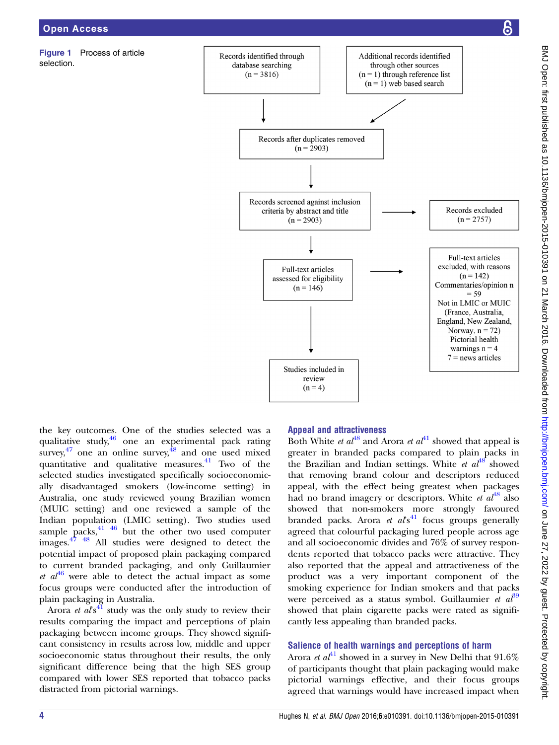<span id="page-3-0"></span>Figure 1 Process of article selection.



the key outcomes. One of the studies selected was a qualitative study[,46](#page-9-0) one an experimental pack rating survey,  $47$  one an online survey,  $48$  and one used mixed quantitative and qualitative measures. $41$  Two of the selected studies investigated specifically socioeconomically disadvantaged smokers (low-income setting) in Australia, one study reviewed young Brazilian women (MUIC setting) and one reviewed a sample of the Indian population (LMIC setting). Two studies used sample packs, $41 \overline{46}$  $41 \overline{46}$  but the other two used computer images.[47 48](#page-9-0) All studies were designed to detect the potential impact of proposed plain packaging compared to current branded packaging, and only Guillaumier et  $a^{46}$  $a^{46}$  $a^{46}$  were able to detect the actual impact as some focus groups were conducted after the introduction of plain packaging in Australia.

Arora et  $a\ell s^{41}$  $a\ell s^{41}$  $a\ell s^{41}$  study was the only study to review their results comparing the impact and perceptions of plain packaging between income groups. They showed significant consistency in results across low, middle and upper socioeconomic status throughout their results, the only significant difference being that the high SES group compared with lower SES reported that tobacco packs distracted from pictorial warnings.

## Appeal and attractiveness

Both White *et al*<sup>[48](#page-9-0)</sup> and Arora *et al*<sup>[41](#page-8-0)</sup> showed that appeal is greater in branded packs compared to plain packs in the Brazilian and Indian settings. White *et*  $a^{48}$  $a^{48}$  $a^{48}$  showed that removing brand colour and descriptors reduced appeal, with the effect being greatest when packages had no brand imagery or descriptors. White *et*  $a^{48}$  $a^{48}$  $a^{48}$  also showed that non-smokers more strongly favoured branded packs. Arora et  $a\ell s^{41}$  $a\ell s^{41}$  $a\ell s^{41}$  focus groups generally agreed that colourful packaging lured people across age and all socioeconomic divides and 76% of survey respondents reported that tobacco packs were attractive. They also reported that the appeal and attractiveness of the product was a very important component of the smoking experience for Indian smokers and that packs were perceived as a status symbol. Guillaumier et  $a<sup>89</sup>$ showed that plain cigarette packs were rated as significantly less appealing than branded packs.

## Salience of health warnings and perceptions of harm

Arora *et al*<sup>[41](#page-8-0)</sup> showed in a survey in New Delhi that  $91.6\%$ of participants thought that plain packaging would make pictorial warnings effective, and their focus groups agreed that warnings would have increased impact when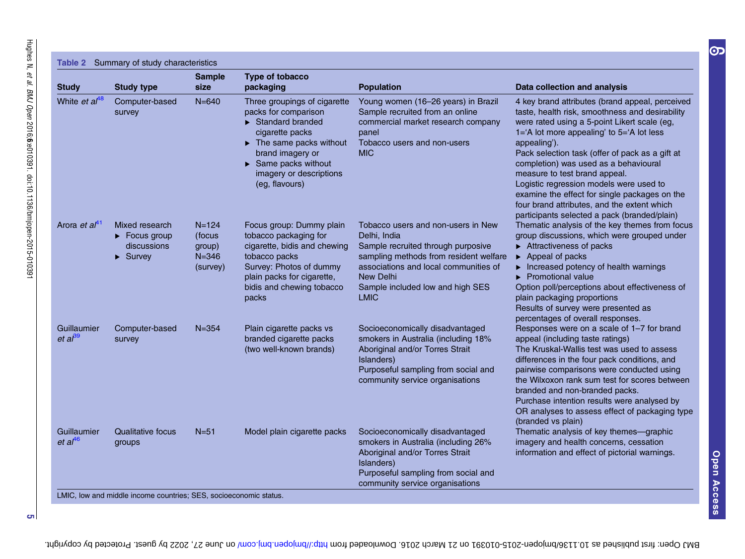<span id="page-4-0"></span>

| <b>Study</b>                       | <b>Study type</b>                                                                                  | <b>Sample</b><br>size                                  | Type of tobacco<br>packaging                                                                                                                                                                                                                                              | <b>Population</b>                                                                                                                                                                                                                           | Data collection and analysis                                                                                                                                                                                                                                                                                                                                                                                                                                                                                                            |
|------------------------------------|----------------------------------------------------------------------------------------------------|--------------------------------------------------------|---------------------------------------------------------------------------------------------------------------------------------------------------------------------------------------------------------------------------------------------------------------------------|---------------------------------------------------------------------------------------------------------------------------------------------------------------------------------------------------------------------------------------------|-----------------------------------------------------------------------------------------------------------------------------------------------------------------------------------------------------------------------------------------------------------------------------------------------------------------------------------------------------------------------------------------------------------------------------------------------------------------------------------------------------------------------------------------|
| White et al <sup>48</sup>          | Computer-based<br>survey                                                                           | $N = 640$                                              | Three groupings of cigarette<br>packs for comparison<br>$\blacktriangleright$ Standard branded<br>cigarette packs<br>$\blacktriangleright$ The same packs without<br>brand imagery or<br>$\triangleright$ Same packs without<br>imagery or descriptions<br>(eg, flavours) | Young women (16-26 years) in Brazil<br>Sample recruited from an online<br>commercial market research company<br>panel<br>Tobacco users and non-users<br><b>MIC</b>                                                                          | 4 key brand attributes (brand appeal, perceived<br>taste, health risk, smoothness and desirability<br>were rated using a 5-point Likert scale (eg,<br>1='A lot more appealing' to 5='A lot less<br>appealing').<br>Pack selection task (offer of pack as a gift at<br>completion) was used as a behavioural<br>measure to test brand appeal.<br>Logistic regression models were used to<br>examine the effect for single packages on the<br>four brand attributes, and the extent which<br>participants selected a pack (branded/plain) |
| Arora <i>et a</i> <sup>41</sup>    | Mixed research<br>$\blacktriangleright$ Focus group<br>discussions<br>$\blacktriangleright$ Survey | $N = 124$<br>(focus<br>group)<br>$N = 346$<br>(survey) | Focus group: Dummy plain<br>tobacco packaging for<br>cigarette, bidis and chewing<br>tobacco packs<br>Survey: Photos of dummy<br>plain packs for cigarette,<br>bidis and chewing tobacco<br>packs                                                                         | Tobacco users and non-users in New<br>Delhi, India<br>Sample recruited through purposive<br>sampling methods from resident welfare<br>associations and local communities of<br>New Delhi<br>Sample included low and high SES<br><b>LMIC</b> | Thematic analysis of the key themes from focus<br>group discussions, which were grouped under<br>$\triangleright$ Attractiveness of packs<br>$\blacktriangleright$ Appeal of packs<br>$\triangleright$ Increased potency of health warnings<br>$\blacktriangleright$ Promotional value<br>Option poll/perceptions about effectiveness of<br>plain packaging proportions<br>Results of survey were presented as<br>percentages of overall responses.                                                                                     |
| Guillaumier<br>et al <sup>39</sup> | Computer-based<br>survey                                                                           | $N = 354$                                              | Plain cigarette packs vs<br>branded cigarette packs<br>(two well-known brands)                                                                                                                                                                                            | Socioeconomically disadvantaged<br>smokers in Australia (including 18%<br>Aboriginal and/or Torres Strait<br>Islanders)<br>Purposeful sampling from social and<br>community service organisations                                           | Responses were on a scale of 1-7 for brand<br>appeal (including taste ratings)<br>The Kruskal-Wallis test was used to assess<br>differences in the four pack conditions, and<br>pairwise comparisons were conducted using<br>the Wilxoxon rank sum test for scores between<br>branded and non-branded packs.<br>Purchase intention results were analysed by<br>OR analyses to assess effect of packaging type<br>(branded vs plain)                                                                                                     |
| Guillaumier<br>et al <sup>46</sup> | <b>Qualitative focus</b><br>groups                                                                 | $N = 51$                                               | Model plain cigarette packs                                                                                                                                                                                                                                               | Socioeconomically disadvantaged<br>smokers in Australia (including 26%<br>Aboriginal and/or Torres Strait<br>Islanders)<br>Purposeful sampling from social and<br>community service organisations                                           | Thematic analysis of key themes-graphic<br>imagery and health concerns, cessation<br>information and effect of pictorial warnings.                                                                                                                                                                                                                                                                                                                                                                                                      |

 $\sigma$ 

Open Access

Open Access

 $\overline{\mathbf{O}}$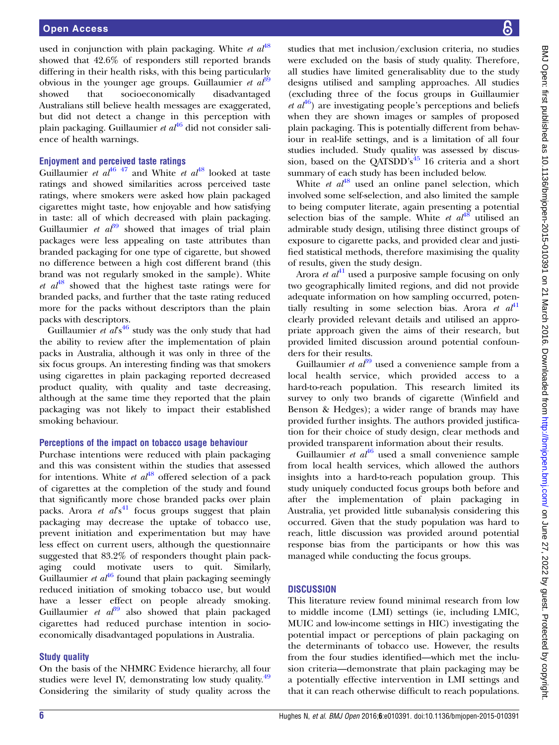used in conjunction with plain packaging. White *et al*<sup>[48](#page-9-0)</sup> showed that 42.6% of responders still reported brands differing in their health risks, with this being particularly obvious in the younger age groups. Guillaumier et  $a\ddot{t}^9$ showed that socioeconomically disadvantaged Australians still believe health messages are exaggerated, but did not detect a change in this perception with plain packaging. Guillaumier et  $a t^{46}$  $a t^{46}$  $a t^{46}$  did not consider salience of health warnings.

#### Enjoyment and perceived taste ratings

Guillaumier et  $al^{46}$  <sup>47</sup> and White et  $al^{48}$  $al^{48}$  $al^{48}$  looked at taste ratings and showed similarities across perceived taste ratings, where smokers were asked how plain packaged cigarettes might taste, how enjoyable and how satisfying in taste: all of which decreased with plain packaging. Guillaumier et  $a<sup>39</sup>$  $a<sup>39</sup>$  $a<sup>39</sup>$  showed that images of trial plain packages were less appealing on taste attributes than branded packaging for one type of cigarette, but showed no difference between a high cost different brand (this brand was not regularly smoked in the sample). White et  $a^{48}$  $a^{48}$  $a^{48}$  showed that the highest taste ratings were for branded packs, and further that the taste rating reduced more for the packs without descriptors than the plain packs with descriptors.

Guillaumier et  $a\ell s^{46}$  $a\ell s^{46}$  $a\ell s^{46}$  study was the only study that had the ability to review after the implementation of plain packs in Australia, although it was only in three of the six focus groups. An interesting finding was that smokers using cigarettes in plain packaging reported decreased product quality, with quality and taste decreasing, although at the same time they reported that the plain packaging was not likely to impact their established smoking behaviour.

## Perceptions of the impact on tobacco usage behaviour

Purchase intentions were reduced with plain packaging and this was consistent within the studies that assessed for intentions. White *et al*<sup>[48](#page-9-0)</sup> offered selection of a pack of cigarettes at the completion of the study and found that significantly more chose branded packs over plain packs. Arora et als<sup>[41](#page-8-0)</sup> focus groups suggest that plain packaging may decrease the uptake of tobacco use, prevent initiation and experimentation but may have less effect on current users, although the questionnaire suggested that 83.2% of responders thought plain packaging could motivate users to quit. Similarly, Guillaumier et  $a t^{46}$  $a t^{46}$  $a t^{46}$  found that plain packaging seemingly reduced initiation of smoking tobacco use, but would have a lesser effect on people already smoking. Guillaumier et  $a<sup>39</sup>$  $a<sup>39</sup>$  $a<sup>39</sup>$  also showed that plain packaged cigarettes had reduced purchase intention in socioeconomically disadvantaged populations in Australia.

#### Study quality

On the basis of the NHMRC Evidence hierarchy, all four studies were level IV, demonstrating low study quality.<sup>[49](#page-9-0)</sup> Considering the similarity of study quality across the studies that met inclusion/exclusion criteria, no studies were excluded on the basis of study quality. Therefore, all studies have limited generalisablity due to the study designs utilised and sampling approaches. All studies (excluding three of the focus groups in Guillaumier *et al*<sup>[46](#page-9-0)</sup>) are investigating people's perceptions and beliefs when they are shown images or samples of proposed plain packaging. This is potentially different from behaviour in real-life settings, and is a limitation of all four studies included. Study quality was assessed by discus-sion, based on the QATSDD's<sup>[45](#page-9-0)</sup> 16 criteria and a short summary of each study has been included below.

White *et*  $a^{48}$  $a^{48}$  $a^{48}$  used an online panel selection, which involved some self-selection, and also limited the sample to being computer literate, again presenting a potential selection bias of the sample. White *et al*<sup>[48](#page-9-0)</sup> utilised an admirable study design, utilising three distinct groups of exposure to cigarette packs, and provided clear and justified statistical methods, therefore maximising the quality of results, given the study design.

Arora *et al*<sup>[41](#page-8-0)</sup> used a purposive sample focusing on only two geographically limited regions, and did not provide adequate information on how sampling occurred, potentially resulting in some selection bias. Arora et  $a t^{41}$  $a t^{41}$  $a t^{41}$ clearly provided relevant details and utilised an appropriate approach given the aims of their research, but provided limited discussion around potential confounders for their results.

Guillaumier et  $a\ell^3$  used a convenience sample from a local health service, which provided access to a hard-to-reach population. This research limited its survey to only two brands of cigarette (Winfield and Benson & Hedges); a wider range of brands may have provided further insights. The authors provided justification for their choice of study design, clear methods and provided transparent information about their results.

Guillaumier  $et \t a t^{46}$  $et \t a t^{46}$  $et \t a t^{46}$  used a small convenience sample from local health services, which allowed the authors insights into a hard-to-reach population group. This study uniquely conducted focus groups both before and after the implementation of plain packaging in Australia, yet provided little subanalysis considering this occurred. Given that the study population was hard to reach, little discussion was provided around potential response bias from the participants or how this was managed while conducting the focus groups.

## **DISCUSSION**

This literature review found minimal research from low to middle income (LMI) settings (ie, including LMIC, MUIC and low-income settings in HIC) investigating the potential impact or perceptions of plain packaging on the determinants of tobacco use. However, the results from the four studies identified—which met the inclusion criteria—demonstrate that plain packaging may be a potentially effective intervention in LMI settings and that it can reach otherwise difficult to reach populations.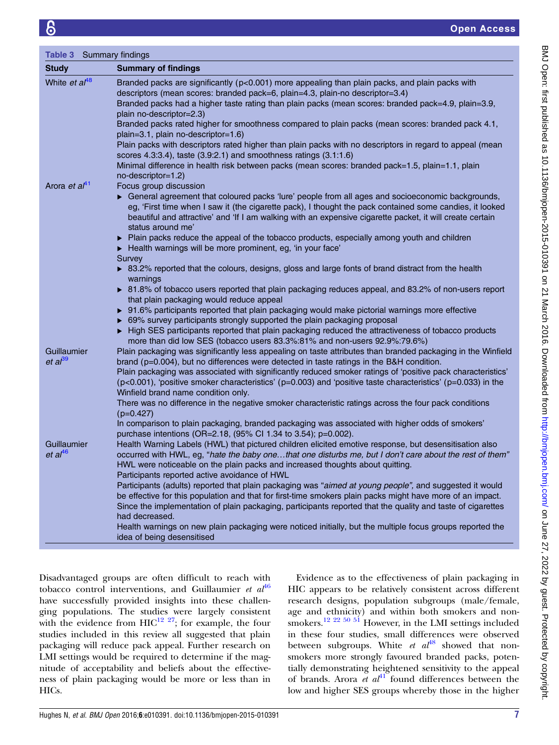<span id="page-6-0"></span>

| Table 3<br>Summary findings |                                                                                                                                                                                                                                                                                                                                                |  |  |  |  |
|-----------------------------|------------------------------------------------------------------------------------------------------------------------------------------------------------------------------------------------------------------------------------------------------------------------------------------------------------------------------------------------|--|--|--|--|
| <b>Study</b>                | <b>Summary of findings</b>                                                                                                                                                                                                                                                                                                                     |  |  |  |  |
| White et al <sup>48</sup>   | Branded packs are significantly (p<0.001) more appealing than plain packs, and plain packs with<br>descriptors (mean scores: branded pack=6, plain=4.3, plain-no descriptor=3.4)                                                                                                                                                               |  |  |  |  |
|                             | Branded packs had a higher taste rating than plain packs (mean scores: branded pack=4.9, plain=3.9,                                                                                                                                                                                                                                            |  |  |  |  |
|                             | plain no-descriptor=2.3)                                                                                                                                                                                                                                                                                                                       |  |  |  |  |
|                             | Branded packs rated higher for smoothness compared to plain packs (mean scores: branded pack 4.1,<br>plain=3.1, plain no-descriptor=1.6)                                                                                                                                                                                                       |  |  |  |  |
|                             | Plain packs with descriptors rated higher than plain packs with no descriptors in regard to appeal (mean                                                                                                                                                                                                                                       |  |  |  |  |
|                             | scores 4.3:3.4), taste (3.9:2.1) and smoothness ratings (3.1:1.6)                                                                                                                                                                                                                                                                              |  |  |  |  |
|                             | Minimal difference in health risk between packs (mean scores: branded pack=1.5, plain=1.1, plain<br>no-descriptor=1.2)                                                                                                                                                                                                                         |  |  |  |  |
| Arora et al <sup>41</sup>   | Focus group discussion                                                                                                                                                                                                                                                                                                                         |  |  |  |  |
|                             | General agreement that coloured packs 'lure' people from all ages and socioeconomic backgrounds,<br>eg, 'First time when I saw it (the cigarette pack), I thought the pack contained some candies, it looked<br>beautiful and attractive' and 'If I am walking with an expensive cigarette packet, it will create certain<br>status around me' |  |  |  |  |
|                             | • Plain packs reduce the appeal of the tobacco products, especially among youth and children<br>Health warnings will be more prominent, eg, 'in your face'                                                                                                                                                                                     |  |  |  |  |
|                             | Survey<br>▶ 83.2% reported that the colours, designs, gloss and large fonts of brand distract from the health<br>warnings                                                                                                                                                                                                                      |  |  |  |  |
|                             | ▶ 81.8% of tobacco users reported that plain packaging reduces appeal, and 83.2% of non-users report<br>that plain packaging would reduce appeal                                                                                                                                                                                               |  |  |  |  |
|                             | ▶ 91.6% participants reported that plain packaging would make pictorial warnings more effective                                                                                                                                                                                                                                                |  |  |  |  |
|                             | ▶ 69% survey participants strongly supported the plain packaging proposal                                                                                                                                                                                                                                                                      |  |  |  |  |
|                             | High SES participants reported that plain packaging reduced the attractiveness of tobacco products                                                                                                                                                                                                                                             |  |  |  |  |
| Guillaumier                 | more than did low SES (tobacco users 83.3%:81% and non-users 92.9%:79.6%)<br>Plain packaging was significantly less appealing on taste attributes than branded packaging in the Winfield                                                                                                                                                       |  |  |  |  |
| et al <sup>39</sup>         | brand ( $p=0.004$ ), but no differences were detected in taste ratings in the B&H condition.                                                                                                                                                                                                                                                   |  |  |  |  |
|                             | Plain packaging was associated with significantly reduced smoker ratings of 'positive pack characteristics'                                                                                                                                                                                                                                    |  |  |  |  |
|                             | $(p<0.001)$ , 'positive smoker characteristics' ( $p=0.003$ ) and 'positive taste characteristics' ( $p=0.033$ ) in the<br>Winfield brand name condition only.                                                                                                                                                                                 |  |  |  |  |
|                             | There was no difference in the negative smoker characteristic ratings across the four pack conditions<br>$(p=0.427)$                                                                                                                                                                                                                           |  |  |  |  |
|                             | In comparison to plain packaging, branded packaging was associated with higher odds of smokers'<br>purchase intentions (OR=2.18, (95% CI 1.34 to 3.54); p=0.002).                                                                                                                                                                              |  |  |  |  |
| Guillaumier                 | Health Warning Labels (HWL) that pictured children elicited emotive response, but desensitisation also                                                                                                                                                                                                                                         |  |  |  |  |
| et al <sup>46</sup>         | occurred with HWL, eg, "hate the baby onethat one disturbs me, but I don't care about the rest of them"                                                                                                                                                                                                                                        |  |  |  |  |
|                             | HWL were noticeable on the plain packs and increased thoughts about quitting.<br>Participants reported active avoidance of HWL                                                                                                                                                                                                                 |  |  |  |  |
|                             | Participants (adults) reported that plain packaging was "aimed at young people", and suggested it would                                                                                                                                                                                                                                        |  |  |  |  |
|                             | be effective for this population and that for first-time smokers plain packs might have more of an impact.<br>Since the implementation of plain packaging, participants reported that the quality and taste of cigarettes<br>had decreased.                                                                                                    |  |  |  |  |
|                             | Health warnings on new plain packaging were noticed initially, but the multiple focus groups reported the                                                                                                                                                                                                                                      |  |  |  |  |
|                             | idea of being desensitised                                                                                                                                                                                                                                                                                                                     |  |  |  |  |

Disadvantaged groups are often difficult to reach with tobacco control interventions, and Guillaumier et  $al<sup>46</sup>$  $al<sup>46</sup>$  $al<sup>46</sup>$ have successfully provided insights into these challenging populations. The studies were largely consistent with the evidence from  $HIC^{12}$  <sup>27</sup>; for example, the four studies included in this review all suggested that plain packaging will reduce pack appeal. Further research on LMI settings would be required to determine if the magnitude of acceptability and beliefs about the effectiveness of plain packaging would be more or less than in HICs.

Evidence as to the effectiveness of plain packaging in HIC appears to be relatively consistent across different research designs, population subgroups (male/female, age and ethnicity) and within both smokers and non-smokers.<sup>[12 22](#page-8-0) [50 51](#page-9-0)</sup> However, in the LMI settings included in these four studies, small differences were observed between subgroups. White et  $at^{48}$  $at^{48}$  $at^{48}$  showed that nonsmokers more strongly favoured branded packs, potentially demonstrating heightened sensitivity to the appeal of brands. Arora et  $a<sup>{41}</sup>$  $a<sup>{41}</sup>$  $a<sup>{41}</sup>$  found differences between the low and higher SES groups whereby those in the higher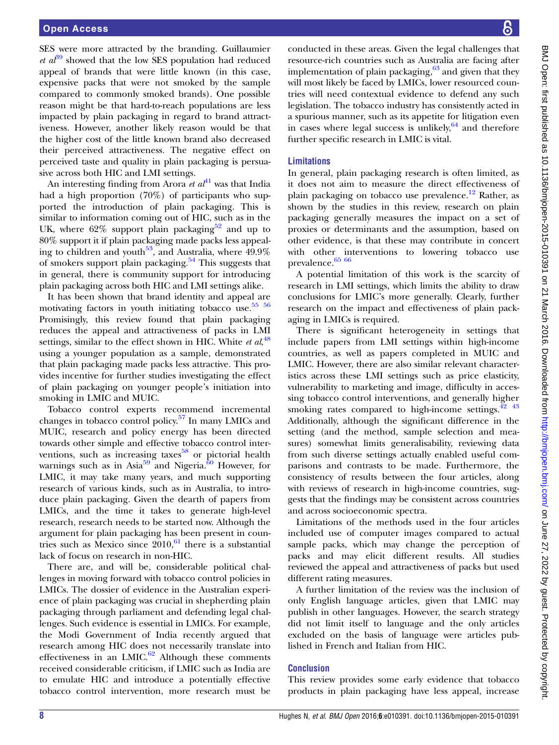SES were more attracted by the branding. Guillaumier *et al*<sup>[39](#page-8-0)</sup> showed that the low SES population had reduced appeal of brands that were little known (in this case, expensive packs that were not smoked by the sample compared to commonly smoked brands). One possible reason might be that hard-to-reach populations are less impacted by plain packaging in regard to brand attractiveness. However, another likely reason would be that the higher cost of the little known brand also decreased their perceived attractiveness. The negative effect on perceived taste and quality in plain packaging is persuasive across both HIC and LMI settings.

An interesting finding from Arora et  $a t^{1}$  was that India had a high proportion (70%) of participants who supported the introduction of plain packaging. This is similar to information coming out of HIC, such as in the UK, where  $62\%$  support plain packaging<sup>[52](#page-9-0)</sup> and up to 80% support it if plain packaging made packs less appealing to children and youth<sup>53</sup>, and Australia, where  $49.9\%$ of smokers support plain packaging.<sup>[54](#page-9-0)</sup> This suggests that in general, there is community support for introducing plain packaging across both HIC and LMI settings alike.

It has been shown that brand identity and appeal are motivating factors in youth initiating tobacco use.<sup>55</sup> <sup>56</sup> Promisingly, this review found that plain packaging reduces the appeal and attractiveness of packs in LMI settings, similar to the effect shown in HIC. White et  $al$ ,  $^{48}$  $^{48}$  $^{48}$ using a younger population as a sample, demonstrated that plain packaging made packs less attractive. This provides incentive for further studies investigating the effect of plain packaging on younger people's initiation into smoking in LMIC and MUIC.

Tobacco control experts recommend incremental changes in tobacco control policy.[57](#page-9-0) In many LMICs and MUIC, research and policy energy has been directed towards other simple and effective tobacco control interventions, such as increasing taxes $58$  or pictorial health warnings such as in Asia<sup>[59](#page-9-0)</sup> and Nigeria.<sup>[60](#page-9-0)</sup> However, for LMIC, it may take many years, and much supporting research of various kinds, such as in Australia, to introduce plain packaging. Given the dearth of papers from LMICs, and the time it takes to generate high-level research, research needs to be started now. Although the argument for plain packaging has been present in countries such as Mexico since  $2010<sup>61</sup>$  $2010<sup>61</sup>$  $2010<sup>61</sup>$  there is a substantial lack of focus on research in non-HIC.

There are, and will be, considerable political challenges in moving forward with tobacco control policies in LMICs. The dossier of evidence in the Australian experience of plain packaging was crucial in shepherding plain packaging through parliament and defending legal challenges. Such evidence is essential in LMICs. For example, the Modi Government of India recently argued that research among HIC does not necessarily translate into effectiveness in an LMIC. $62$  Although these comments received considerable criticism, if LMIC such as India are to emulate HIC and introduce a potentially effective tobacco control intervention, more research must be

conducted in these areas. Given the legal challenges that resource-rich countries such as Australia are facing after implementation of plain packaging, $63$  and given that they will most likely be faced by LMICs, lower resourced countries will need contextual evidence to defend any such legislation. The tobacco industry has consistently acted in a spurious manner, such as its appetite for litigation even in cases where legal success is unlikely,  $64$  and therefore further specific research in LMIC is vital.

## Limitations

In general, plain packaging research is often limited, as it does not aim to measure the direct effectiveness of plain packaging on tobacco use prevalence.<sup>12</sup> Rather, as shown by the studies in this review, research on plain packaging generally measures the impact on a set of proxies or determinants and the assumption, based on other evidence, is that these may contribute in concert with other interventions to lowering tobacco use prevalence.  $^{65\ 66}$ 

A potential limitation of this work is the scarcity of research in LMI settings, which limits the ability to draw conclusions for LMIC's more generally. Clearly, further research on the impact and effectiveness of plain packaging in LMICs is required.

There is significant heterogeneity in settings that include papers from LMI settings within high-income countries, as well as papers completed in MUIC and LMIC. However, there are also similar relevant characteristics across these LMI settings such as price elasticity, vulnerability to marketing and image, difficulty in accessing tobacco control interventions, and generally higher smoking rates compared to high-income settings. $42 \frac{43}{12}$ Additionally, although the significant difference in the setting (and the method, sample selection and measures) somewhat limits generalisability, reviewing data from such diverse settings actually enabled useful comparisons and contrasts to be made. Furthermore, the consistency of results between the four articles, along with reviews of research in high-income countries, suggests that the findings may be consistent across countries and across socioeconomic spectra.

Limitations of the methods used in the four articles included use of computer images compared to actual sample packs, which may change the perception of packs and may elicit different results. All studies reviewed the appeal and attractiveness of packs but used different rating measures.

A further limitation of the review was the inclusion of only English language articles, given that LMIC may publish in other languages. However, the search strategy did not limit itself to language and the only articles excluded on the basis of language were articles published in French and Italian from HIC.

### Conclusion

This review provides some early evidence that tobacco products in plain packaging have less appeal, increase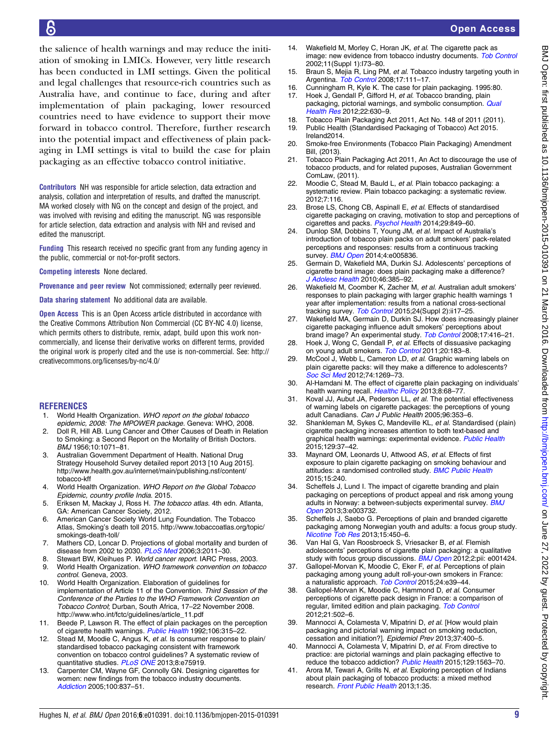Open Access

<span id="page-8-0"></span>the salience of health warnings and may reduce the initiation of smoking in LMICs. However, very little research has been conducted in LMI settings. Given the political and legal challenges that resource-rich countries such as Australia have, and continue to face, during and after implementation of plain packaging, lower resourced countries need to have evidence to support their move forward in tobacco control. Therefore, further research into the potential impact and effectiveness of plain packaging in LMI settings is vital to build the case for plain packaging as an effective tobacco control initiative.

Contributors NH was responsible for article selection, data extraction and analysis, collation and interpretation of results, and drafted the manuscript. MA worked closely with NG on the concept and design of the project, and was involved with revising and editing the manuscript. NG was responsible for article selection, data extraction and analysis with NH and revised and edited the manuscript.

Funding This research received no specific grant from any funding agency in the public, commercial or not-for-profit sectors.

Competing interests None declared.

Provenance and peer review Not commissioned; externally peer reviewed.

Data sharing statement No additional data are available.

**Open Access** This is an Open Access article distributed in accordance with the Creative Commons Attribution Non Commercial (CC BY-NC 4.0) license, which permits others to distribute, remix, adapt, build upon this work noncommercially, and license their derivative works on different terms, provided the original work is properly cited and the use is non-commercial. See: [http://](http://creativecommons.org/licenses/by-nc/4.0/) [creativecommons.org/licenses/by-nc/4.0/](http://creativecommons.org/licenses/by-nc/4.0/)

#### **REFERENCES**

- 1. World Health Organization. WHO report on the global tobacco epidemic, 2008: The MPOWER package. Geneva: WHO, 2008.
- 2. Doll R, Hill AB. Lung Cancer and Other Causes of Death in Relation to Smoking: a Second Report on the Mortality of British Doctors. BMJ 1956;10:1071–81.
- 3. Australian Government Department of Health. National Drug Strategy Household Survey detailed report 2013 [10 Aug 2015]. [http://www.health.gov.au/internet/main/publishing.nsf/content/](http://www.health.gov.au/internet/main/publishing.nsf/content/tobacco-kff) [tobacco-kff](http://www.health.gov.au/internet/main/publishing.nsf/content/tobacco-kff)
- 4. World Health Organization. WHO Report on the Global Tobacco Epidemic, country profile India. 2015.
- 5. Eriksen M, Mackay J, Ross H. The tobacco atlas. 4th edn. Atlanta, GA: American Cancer Society, 2012.
- 6. American Cancer Society World Lung Foundation. The Tobacco Atlas, Smoking's death toll 2015. [http://www.tobaccoatlas.org/topic/](http://www.tobaccoatlas.org/topic/smokings-death-toll/) [smokings-death-toll/](http://www.tobaccoatlas.org/topic/smokings-death-toll/)
- 7. Mathers CD, Loncar D. Projections of global mortality and burden of disease from 2002 to 2030. [PLoS Med](http://dx.doi.org/10.1371/journal.pmed.0030442) 2006;3:2011-30.
- 8. Stewart BW, Kleihues P. World cancer report. IARC Press, 2003.
- 9. World Health Organization. WHO framework convention on tobacco control. Geneva, 2003.
- 10. World Health Organization. Elaboration of guidelines for implementation of Article 11 of the Convention. Third Session of the Conference of the Parties to the WHO Framework Convention on Tobacco Control; Durban, South Africa, 17–22 November 2008. [http://www.who.int/fctc/guidelines/article\\_11.pdf](http://www.who.int/fctc/guidelines/article_11.pdf)
- 11. Beede P, Lawson R. The effect of plain packages on the perception of cigarette health warnings. [Public Health](http://dx.doi.org/10.1016/S0033-3506(05)80425-1) 1992;106:315-22.
- 12. Stead M, Moodie C, Angus K, et al. Is consumer response to plain/ standardised tobacco packaging consistent with framework convention on tobacco control guidelines? A systematic review of quantitative studies. [PLoS ONE](http://dx.doi.org/10.1371/journal.pone.0075919) 2013;8:e75919.
- 13. Carpenter CM, Wayne GF, Connolly GN. Designing cigarettes for women: new findings from the tobacco industry documents. [Addiction](http://dx.doi.org/10.1111/j.1360-0443.2005.01072.x) 2005;100:837–51.
- 14. Wakefield M, Morley C, Horan JK, et al. The cigarette pack as image: new evidence from tobacco industry documents. [Tob Control](http://dx.doi.org/10.1136/tc.11.suppl_1.i73) 2002;11(Suppl 1):I73–80.
- 15. Braun S, Mejia R, Ling PM, et al. Tobacco industry targeting youth in Argentina. [Tob Control](http://dx.doi.org/10.1136/tc.2006.018481) 2008;17:111-17.
- 16. Cunningham R, Kyle K. The case for plain packaging. 1995:80.
- 17. Hoek J, Gendall P, Gifford H, et al. Tobacco branding, plain packaging, pictorial warnings, and symbolic consumption. [Qual](http://dx.doi.org/10.1177/1049732311431070) [Health Res](http://dx.doi.org/10.1177/1049732311431070) 2012;22:630–9.
- 18. Tobacco Plain Packaging Act 2011, Act No. 148 of 2011 (2011). 19. Public Health (Standardised Packaging of Tobacco) Act 2015. Ireland2014.
- 20. Smoke-free Environments (Tobacco Plain Packaging) Amendment Bill, (2013).
- 21. Tobacco Plain Packaging Act 2011, An Act to discourage the use of tobacco products, and for related puposes, Australian Government ComLaw, (2011).
- 22. Moodie C, Stead M, Bauld L, et al. Plain tobacco packaging: a systematic review. Plain tobacco packaging: a systematic review. 2012;7:116.
- 23. Brose LS, Chong CB, Aspinall E, et al. Effects of standardised cigarette packaging on craving, motivation to stop and perceptions of cigarettes and packs. [Psychol Health](http://dx.doi.org/10.1080/08870446.2014.896915) 2014;29:849–60.
- 24. Dunlop SM, Dobbins T, Young JM, et al. Impact of Australia's introduction of tobacco plain packs on adult smokers' pack-related perceptions and responses: results from a continuous tracking survey. **[BMJ Open](http://dx.doi.org/10.1136/bmjopen-2014-005836) 2014;4:e005836.**
- 25. Germain D, Wakefield MA, Durkin SJ. Adolescents' perceptions of cigarette brand image: does plain packaging make a difference? [J Adolesc Health](http://dx.doi.org/10.1016/j.jadohealth.2009.08.009) 2010;46:385-92.
- 26. Wakefield M, Coomber K, Zacher M, et al. Australian adult smokers' responses to plain packaging with larger graphic health warnings 1 year after implementation: results from a national cross-sectional tracking survey. [Tob Control](http://dx.doi.org/10.1136/tobaccocontrol-2014-052050) 2015;24(Suppl 2):ii17-25.
- 27. Wakefield MA, Germain D, Durkin SJ. How does increasingly plainer cigarette packaging influence adult smokers' perceptions about brand image? An experimental study. [Tob Control](http://dx.doi.org/10.1136/tc.2008.026732) 2008;17:416–21.
- 28. Hoek J, Wong C, Gendall P, et al. Effects of dissuasive packaging on young adult smokers. [Tob Control](http://dx.doi.org/10.1136/tc.2010.037861) 2011;20:183-8.
- 29. McCool J, Webb L, Cameron LD, et al. Graphic warning labels on plain cigarette packs: will they make a difference to adolescents? [Soc Sci Med](http://dx.doi.org/10.1016/j.socscimed.2011.12.043) 2012;74:1269-73.
- 30. Al-Hamdani M. The effect of cigarette plain packaging on individuals' health warning recall. [Healthc Policy](http://dx.doi.org/10.12927/hcpol.2013.23210) 2013;8:68-77.
- 31. Koval JJ, Aubut JA, Pederson LL, et al. The potential effectiveness of warning labels on cigarette packages: the perceptions of young adult Canadians. Can J Public Health 2005;96:353–6.
- 32. Shankleman M, Sykes C, Mandeville KL, et al. Standardised (plain) cigarette packaging increases attention to both text-based and graphical health warnings: experimental evidence. [Public Health](http://dx.doi.org/10.1016/j.puhe.2014.10.019) 2015;129:37–42.
- 33. Maynard OM, Leonards U, Attwood AS, et al. Effects of first exposure to plain cigarette packaging on smoking behaviour and attitudes: a randomised controlled study. [BMC Public Health](http://dx.doi.org/10.1186/s12889-015-1586-8) 2015;15:240.
- 34. Scheffels J, Lund I. The impact of cigarette branding and plain packaging on perceptions of product appeal and risk among young adults in Norway: a between-subjects experimental survey. **[BMJ](http://dx.doi.org/10.1136/bmjopen-2013-003732)** [Open](http://dx.doi.org/10.1136/bmjopen-2013-003732) 2013;3:e003732.
- Scheffels J, Saebo G. Perceptions of plain and branded cigarette packaging among Norwegian youth and adults: a focus group study. [Nicotine Tob Res](http://dx.doi.org/10.1093/ntr/nts153) 2013;15:450–6.
- 36. Van Hal G, Van Roosbroeck S, Vriesacker B, et al. Flemish adolescents' perceptions of cigarette plain packaging: a qualitative study with focus group discussions. [BMJ Open](http://dx.doi.org/10.1136/bmjopen-2012-001424) 2012;2:pii: e001424.
- 37. Gallopel-Morvan K, Moodie C, Eker F, et al. Perceptions of plain packaging among young adult roll-your-own smokers in France: a naturalistic approach. [Tob Control](http://dx.doi.org/10.1136/tobaccocontrol-2013-051513) 2015;24:e39–44.
- Gallopel-Morvan K, Moodie C, Hammond D, et al. Consumer perceptions of cigarette pack design in France: a comparison of regular, limited edition and plain packaging. [Tob Control](http://dx.doi.org/10.1136/tobaccocontrol-2011-050079) 2012;21:502–6.
- 39. Mannocci A, Colamesta V, Mipatrini D, et al. [How would plain packaging and pictorial warning impact on smoking reduction, cessation and initiation?]. Epidemiol Prev 2013;37:400–5.
- 40. Mannocci A, Colamesta V, Mipatrini D, et al. From directive to practice: are pictorial warnings and plain packaging effective to reduce the tobacco addiction? [Public Health](http://dx.doi.org/10.1016/j.puhe.2015.08.014) 2015;129:1563-70.
- 41. Arora M, Tewari A, Grills N, et al. Exploring perception of Indians about plain packaging of tobacco products: a mixed method research. [Front Public Health](http://dx.doi.org/10.3389/fpubh.2013.00035) 2013;1:35.